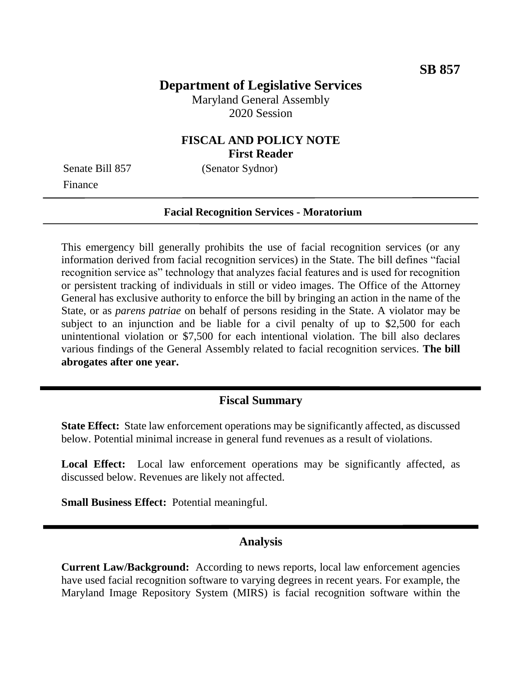# **Department of Legislative Services**

Maryland General Assembly 2020 Session

### **FISCAL AND POLICY NOTE First Reader**

Finance

Senate Bill 857 (Senator Sydnor)

#### **Facial Recognition Services - Moratorium**

This emergency bill generally prohibits the use of facial recognition services (or any information derived from facial recognition services) in the State. The bill defines "facial recognition service as" technology that analyzes facial features and is used for recognition or persistent tracking of individuals in still or video images. The Office of the Attorney General has exclusive authority to enforce the bill by bringing an action in the name of the State, or as *parens patriae* on behalf of persons residing in the State. A violator may be subject to an injunction and be liable for a civil penalty of up to \$2,500 for each unintentional violation or \$7,500 for each intentional violation. The bill also declares various findings of the General Assembly related to facial recognition services. **The bill abrogates after one year.**

### **Fiscal Summary**

**State Effect:** State law enforcement operations may be significantly affected, as discussed below. Potential minimal increase in general fund revenues as a result of violations.

Local Effect: Local law enforcement operations may be significantly affected, as discussed below. Revenues are likely not affected.

**Small Business Effect:** Potential meaningful.

#### **Analysis**

**Current Law/Background:** According to news reports, local law enforcement agencies have used facial recognition software to varying degrees in recent years. For example, the Maryland Image Repository System (MIRS) is facial recognition software within the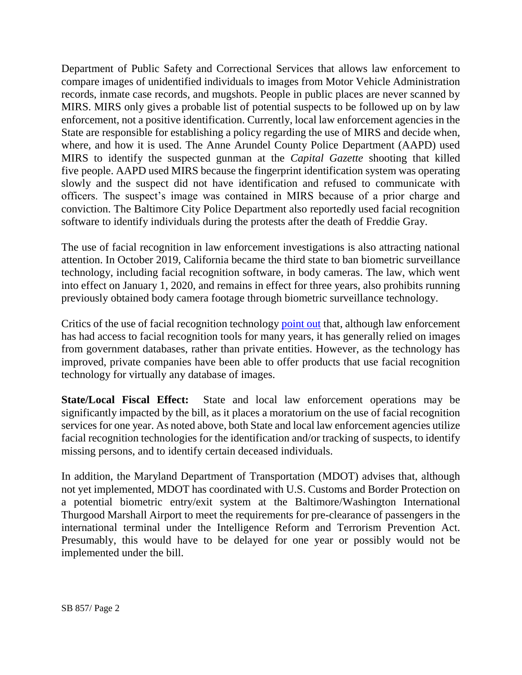Department of Public Safety and Correctional Services that allows law enforcement to compare images of unidentified individuals to images from Motor Vehicle Administration records, inmate case records, and mugshots. People in public places are never scanned by MIRS. MIRS only gives a probable list of potential suspects to be followed up on by law enforcement, not a positive identification. Currently, local law enforcement agencies in the State are responsible for establishing a policy regarding the use of MIRS and decide when, where, and how it is used. The Anne Arundel County Police Department (AAPD) used MIRS to identify the suspected gunman at the *Capital Gazette* shooting that killed five people. AAPD used MIRS because the fingerprint identification system was operating slowly and the suspect did not have identification and refused to communicate with officers. The suspect's image was contained in MIRS because of a prior charge and conviction. The Baltimore City Police Department also reportedly used facial recognition software to identify individuals during the protests after the death of Freddie Gray.

The use of facial recognition in law enforcement investigations is also attracting national attention. In October 2019, California became the third state to ban biometric surveillance technology, including facial recognition software, in body cameras. The law, which went into effect on January 1, 2020, and remains in effect for three years, also prohibits running previously obtained body camera footage through biometric surveillance technology.

Critics of the use of facial recognition technology [point out](https://www.nytimes.com/2020/01/18/technology/clearview-privacy-facial-recognition.html) that, although law enforcement has had access to facial recognition tools for many years, it has generally relied on images from government databases, rather than private entities. However, as the technology has improved, private companies have been able to offer products that use facial recognition technology for virtually any database of images.

**State/Local Fiscal Effect:** State and local law enforcement operations may be significantly impacted by the bill, as it places a moratorium on the use of facial recognition services for one year. As noted above, both State and local law enforcement agencies utilize facial recognition technologies for the identification and/or tracking of suspects, to identify missing persons, and to identify certain deceased individuals.

In addition, the Maryland Department of Transportation (MDOT) advises that, although not yet implemented, MDOT has coordinated with U.S. Customs and Border Protection on a potential biometric entry/exit system at the Baltimore/Washington International Thurgood Marshall Airport to meet the requirements for pre-clearance of passengers in the international terminal under the Intelligence Reform and Terrorism Prevention Act. Presumably, this would have to be delayed for one year or possibly would not be implemented under the bill.